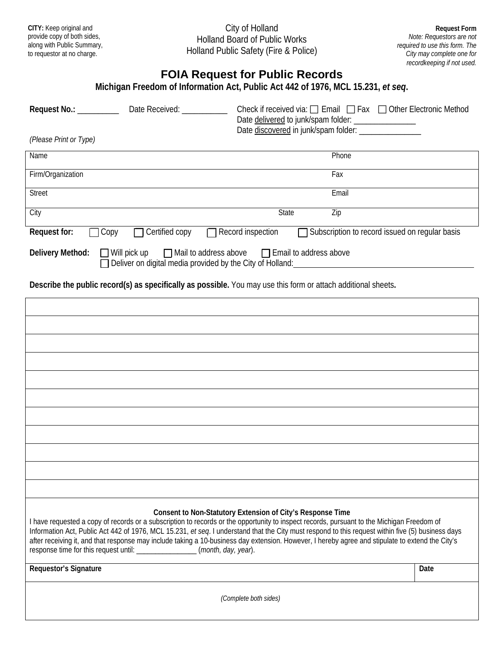**CITY:** Keep original and provide copy of both sides, along with Public Summary, to requestor at no charge.

City of Holland Holland Board of Public Works Holland Public Safety (Fire & Police)

**Request Form** *Note: Requestors are not required to use this form. The City may complete one for recordkeeping if not used.*

## **FOIA Request for Public Records**

| Michigan Freedom of Information Act, Public Act 442 of 1976, MCL 15.231, et seg.     |                                                                                                                                       |  |
|--------------------------------------------------------------------------------------|---------------------------------------------------------------------------------------------------------------------------------------|--|
| Date Received: National Action<br>Request No.: __________                            | Check if received via: $\Box$ Email $\Box$ Fax $\Box$ Other Electronic Method<br>Date delivered to junk/spam folder: ________________ |  |
| (Please Print or Type)                                                               |                                                                                                                                       |  |
| Name                                                                                 | Phone                                                                                                                                 |  |
| Firm/Organization                                                                    | Fax                                                                                                                                   |  |
| <b>Street</b>                                                                        | Email                                                                                                                                 |  |
| City                                                                                 | <b>State</b><br>Zip                                                                                                                   |  |
| Request for:<br>$\Box$ Certified copy<br>$\sqcap$ Copy                               | $\Box$ Record inspection<br>Subscription to record issued on regular basis                                                            |  |
| Delivery Method:<br>$\Box$ Deliver on digital media provided by the City of Holland: | $\Box$ Will pick up $\Box$ Mail to address above $\Box$ Email to address above                                                        |  |

**Describe the public record(s) as specifically as possible.** You may use this form or attach additional sheets**.**

| Consent to Non-Statutory Extension of City's Response Time<br>I have requested a copy of records or a subscription to records or the opportunity to inspect records, pursuant to the Michigan Freedom of<br>Information Act, Public Act 442 of 1976, MCL 15.231, et seq. I understand that the City must respond to this request within five (5) business days<br>after receiving it, and that response may include taking a 10-business day extension. However, I hereby agree and stipulate to extend the City's<br>response time for this request until: ________________(month, day, year). |      |  |
|-------------------------------------------------------------------------------------------------------------------------------------------------------------------------------------------------------------------------------------------------------------------------------------------------------------------------------------------------------------------------------------------------------------------------------------------------------------------------------------------------------------------------------------------------------------------------------------------------|------|--|
| Requestor's Signature                                                                                                                                                                                                                                                                                                                                                                                                                                                                                                                                                                           | Date |  |
| (Complete both sides)                                                                                                                                                                                                                                                                                                                                                                                                                                                                                                                                                                           |      |  |